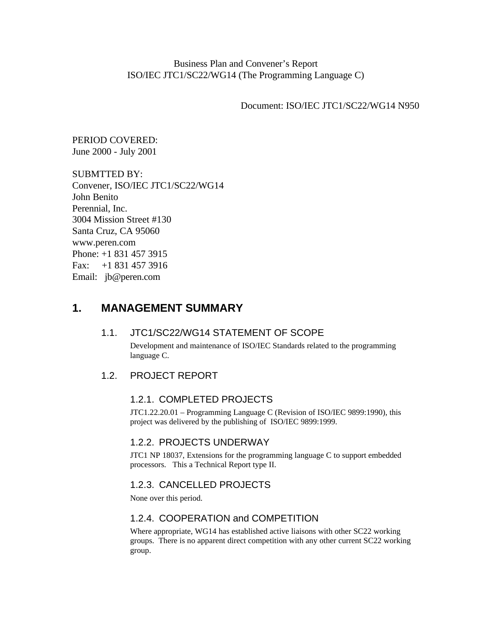Business Plan and Convener's Report ISO/IEC JTC1/SC22/WG14 (The Programming Language C)

Document: ISO/IEC JTC1/SC22/WG14 N950

PERIOD COVERED: June 2000 - July 2001

SUBMTTED BY: Convener, ISO/IEC JTC1/SC22/WG14 John Benito Perennial, Inc. 3004 Mission Street #130 Santa Cruz, CA 95060 www.peren.com Phone: +1 831 457 3915 Fax: +1 831 457 3916 Email: jb@peren.com

# **1. MANAGEMENT SUMMARY**

#### 1.1. JTC1/SC22/WG14 STATEMENT OF SCOPE

Development and maintenance of ISO/IEC Standards related to the programming language C.

# 1.2. PROJECT REPORT

# 1.2.1. COMPLETED PROJECTS

JTC1.22.20.01 – Programming Language C (Revision of ISO/IEC 9899:1990), this project was delivered by the publishing of ISO/IEC 9899:1999.

# 1.2.2. PROJECTS UNDERWAY

JTC1 NP 18037, Extensions for the programming language C to support embedded processors. This a Technical Report type II.

# 1.2.3. CANCELLED PROJECTS

None over this period.

#### 1.2.4. COOPERATION and COMPETITION

Where appropriate, WG14 has established active liaisons with other SC22 working groups. There is no apparent direct competition with any other current SC22 working group.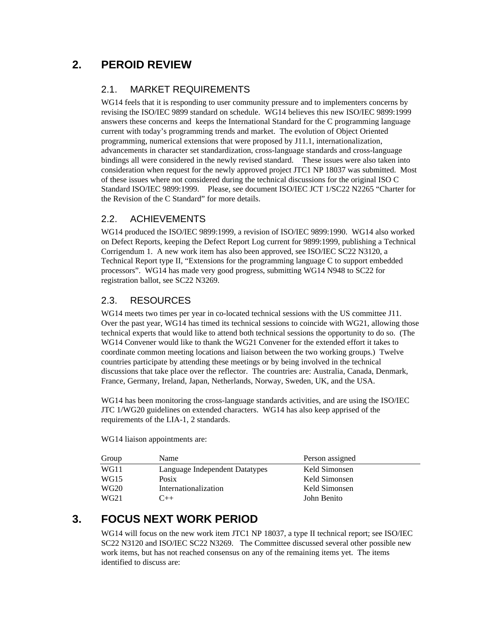# **2. PEROID REVIEW**

# 2.1. MARKET REQUIREMENTS

WG14 feels that it is responding to user community pressure and to implementers concerns by revising the ISO/IEC 9899 standard on schedule. WG14 believes this new ISO/IEC 9899:1999 answers these concerns and keeps the International Standard for the C programming language current with today's programming trends and market. The evolution of Object Oriented programming, numerical extensions that were proposed by J11.1, internationalization, advancements in character set standardization, cross-language standards and cross-language bindings all were considered in the newly revised standard. These issues were also taken into consideration when request for the newly approved project JTC1 NP 18037 was submitted. Most of these issues where not considered during the technical discussions for the original ISO C Standard ISO/IEC 9899:1999. Please, see document ISO/IEC JCT 1/SC22 N2265 "Charter for the Revision of the C Standard" for more details.

# 2.2. ACHIEVEMENTS

WG14 produced the ISO/IEC 9899:1999, a revision of ISO/IEC 9899:1990. WG14 also worked on Defect Reports, keeping the Defect Report Log current for 9899:1999, publishing a Technical Corrigendum 1. A new work item has also been approved, see ISO/IEC SC22 N3120, a Technical Report type II, "Extensions for the programming language C to support embedded processors". WG14 has made very good progress, submitting WG14 N948 to SC22 for registration ballot, see SC22 N3269.

# 2.3. RESOURCES

WG14 meets two times per year in co-located technical sessions with the US committee J11. Over the past year, WG14 has timed its technical sessions to coincide with WG21, allowing those technical experts that would like to attend both technical sessions the opportunity to do so. (The WG14 Convener would like to thank the WG21 Convener for the extended effort it takes to coordinate common meeting locations and liaison between the two working groups.) Twelve countries participate by attending these meetings or by being involved in the technical discussions that take place over the reflector. The countries are: Australia, Canada, Denmark, France, Germany, Ireland, Japan, Netherlands, Norway, Sweden, UK, and the USA.

WG14 has been monitoring the cross-language standards activities, and are using the ISO/IEC JTC 1/WG20 guidelines on extended characters. WG14 has also keep apprised of the requirements of the LIA-1, 2 standards.

WG14 liaison appointments are:

| Group            | Name                           | Person assigned |
|------------------|--------------------------------|-----------------|
| WG11             | Language Independent Datatypes | Keld Simonsen   |
| WG15             | Posix                          | Keld Simonsen   |
| WG20             | Internationalization           | Keld Simonsen   |
| WG <sub>21</sub> | $( )++$                        | John Benito     |

# **3. FOCUS NEXT WORK PERIOD**

WG14 will focus on the new work item JTC1 NP 18037, a type II technical report; see ISO/IEC SC22 N3120 and ISO/IEC SC22 N3269. The Committee discussed several other possible new work items, but has not reached consensus on any of the remaining items yet. The items identified to discuss are: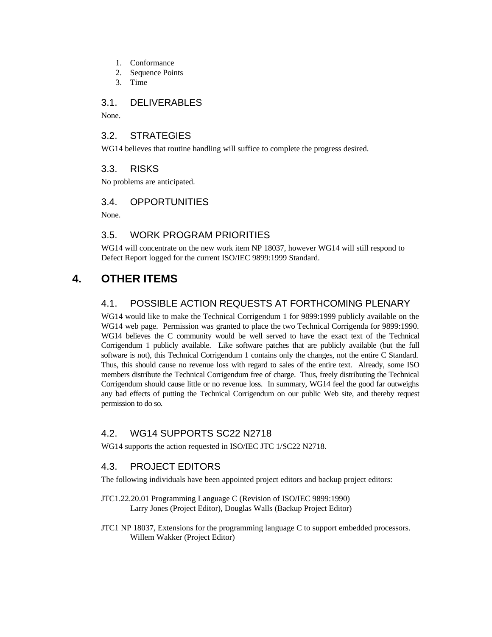- 1. Conformance
- 2. Sequence Points
- 3. Time

### 3.1. DELIVERABLES

None.

#### 3.2. STRATEGIES

WG14 believes that routine handling will suffice to complete the progress desired.

#### 3.3. RISKS

No problems are anticipated.

### 3.4. OPPORTUNITIES

None.

# 3.5. WORK PROGRAM PRIORITIES

WG14 will concentrate on the new work item NP 18037, however WG14 will still respond to Defect Report logged for the current ISO/IEC 9899:1999 Standard.

# **4. OTHER ITEMS**

# 4.1. POSSIBLE ACTION REQUESTS AT FORTHCOMING PLENARY

WG14 would like to make the Technical Corrigendum 1 for 9899:1999 publicly available on the WG14 web page. Permission was granted to place the two Technical Corrigenda for 9899:1990. WG14 believes the C community would be well served to have the exact text of the Technical Corrigendum 1 publicly available. Like software patches that are publicly available (but the full software is not), this Technical Corrigendum 1 contains only the changes, not the entire C Standard. Thus, this should cause no revenue loss with regard to sales of the entire text. Already, some ISO members distribute the Technical Corrigendum free of charge. Thus, freely distributing the Technical Corrigendum should cause little or no revenue loss. In summary, WG14 feel the good far outweighs any bad effects of putting the Technical Corrigendum on our public Web site, and thereby request permission to do so.

# 4.2. WG14 SUPPORTS SC22 N2718

WG14 supports the action requested in ISO/IEC JTC 1/SC22 N2718.

# 4.3. PROJECT EDITORS

The following individuals have been appointed project editors and backup project editors:

- JTC1.22.20.01 Programming Language C (Revision of ISO/IEC 9899:1990) Larry Jones (Project Editor), Douglas Walls (Backup Project Editor)
- JTC1 NP 18037, Extensions for the programming language C to support embedded processors. Willem Wakker (Project Editor)